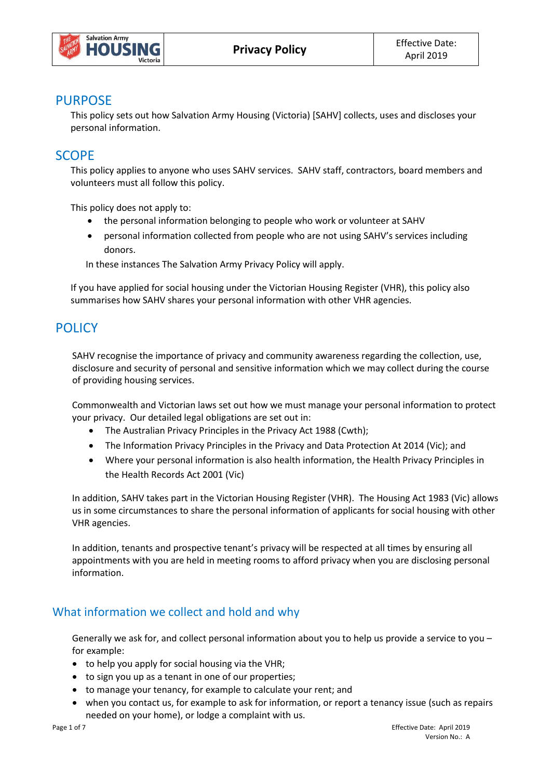

## **PURPOSE**

This policy sets out how Salvation Army Housing (Victoria) [SAHV] collects, uses and discloses your personal information.

## **SCOPE**

This policy applies to anyone who uses SAHV services. SAHV staff, contractors, board members and volunteers must all follow this policy.

This policy does not apply to:

- the personal information belonging to people who work or volunteer at SAHV
- personal information collected from people who are not using SAHV's services including donors.

In these instances The Salvation Army Privacy Policy will apply.

If you have applied for social housing under the Victorian Housing Register (VHR), this policy also summarises how SAHV shares your personal information with other VHR agencies.

# **POLICY**

SAHV recognise the importance of privacy and community awareness regarding the collection, use, disclosure and security of personal and sensitive information which we may collect during the course of providing housing services.

Commonwealth and Victorian laws set out how we must manage your personal information to protect your privacy. Our detailed legal obligations are set out in:

- The Australian Privacy Principles in the Privacy Act 1988 (Cwth);
- The Information Privacy Principles in the Privacy and Data Protection At 2014 (Vic); and
- Where your personal information is also health information, the Health Privacy Principles in the Health Records Act 2001 (Vic)

In addition, SAHV takes part in the Victorian Housing Register (VHR). The Housing Act 1983 (Vic) allows us in some circumstances to share the personal information of applicants for social housing with other VHR agencies.

In addition, tenants and prospective tenant's privacy will be respected at all times by ensuring all appointments with you are held in meeting rooms to afford privacy when you are disclosing personal information.

## What information we collect and hold and why

Generally we ask for, and collect personal information about you to help us provide a service to you – for example:

- to help you apply for social housing via the VHR;
- to sign you up as a tenant in one of our properties;
- to manage your tenancy, for example to calculate your rent; and
- when you contact us, for example to ask for information, or report a tenancy issue (such as repairs needed on your home), or lodge a complaint with us.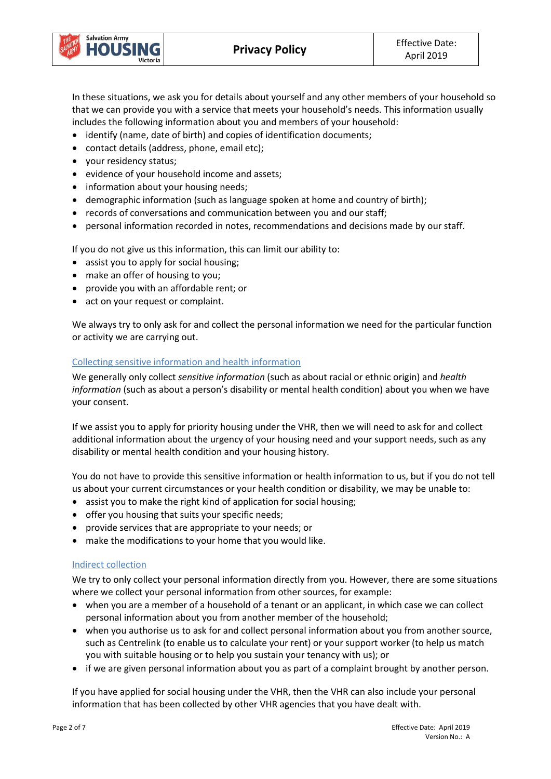

In these situations, we ask you for details about yourself and any other members of your household so that we can provide you with a service that meets your household's needs. This information usually includes the following information about you and members of your household:

- identify (name, date of birth) and copies of identification documents;
- contact details (address, phone, email etc);
- your residency status;
- evidence of your household income and assets;
- information about your housing needs;
- demographic information (such as language spoken at home and country of birth);
- records of conversations and communication between you and our staff;
- personal information recorded in notes, recommendations and decisions made by our staff.

If you do not give us this information, this can limit our ability to:

- assist you to apply for social housing;
- make an offer of housing to you;
- provide you with an affordable rent; or
- act on your request or complaint.

We always try to only ask for and collect the personal information we need for the particular function or activity we are carrying out.

### Collecting sensitive information and health information

We generally only collect *sensitive information* (such as about racial or ethnic origin) and *health information* (such as about a person's disability or mental health condition) about you when we have your consent.

If we assist you to apply for priority housing under the VHR, then we will need to ask for and collect additional information about the urgency of your housing need and your support needs, such as any disability or mental health condition and your housing history.

You do not have to provide this sensitive information or health information to us, but if you do not tell us about your current circumstances or your health condition or disability, we may be unable to:

- assist you to make the right kind of application for social housing;
- offer you housing that suits your specific needs;
- provide services that are appropriate to your needs; or
- make the modifications to your home that you would like.

### Indirect collection

We try to only collect your personal information directly from you. However, there are some situations where we collect your personal information from other sources, for example:

- when you are a member of a household of a tenant or an applicant, in which case we can collect personal information about you from another member of the household;
- when you authorise us to ask for and collect personal information about you from another source, such as Centrelink (to enable us to calculate your rent) or your support worker (to help us match you with suitable housing or to help you sustain your tenancy with us); or
- if we are given personal information about you as part of a complaint brought by another person.

If you have applied for social housing under the VHR, then the VHR can also include your personal information that has been collected by other VHR agencies that you have dealt with.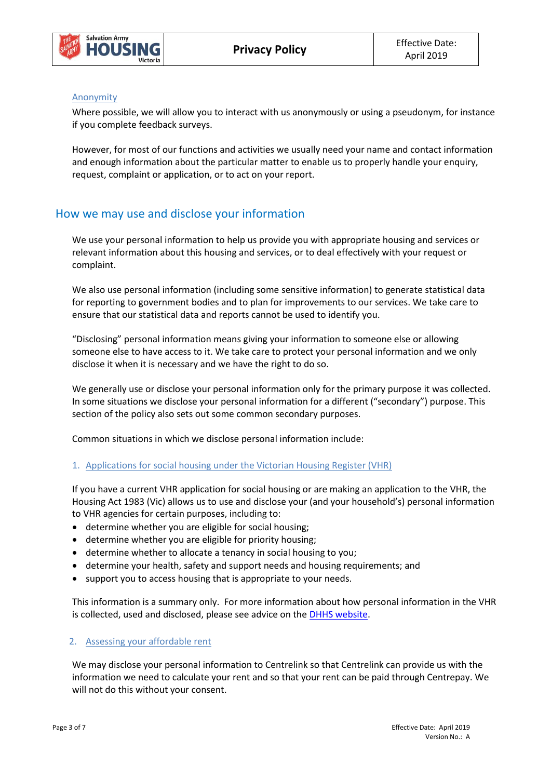

#### Anonymity

Where possible, we will allow you to interact with us anonymously or using a pseudonym, for instance if you complete feedback surveys.

However, for most of our functions and activities we usually need your name and contact information and enough information about the particular matter to enable us to properly handle your enquiry, request, complaint or application, or to act on your report.

## How we may use and disclose your information

We use your personal information to help us provide you with appropriate housing and services or relevant information about this housing and services, or to deal effectively with your request or complaint.

We also use personal information (including some sensitive information) to generate statistical data for reporting to government bodies and to plan for improvements to our services. We take care to ensure that our statistical data and reports cannot be used to identify you.

"Disclosing" personal information means giving your information to someone else or allowing someone else to have access to it. We take care to protect your personal information and we only disclose it when it is necessary and we have the right to do so.

We generally use or disclose your personal information only for the primary purpose it was collected. In some situations we disclose your personal information for a different ("secondary") purpose. This section of the policy also sets out some common secondary purposes.

Common situations in which we disclose personal information include:

### 1. Applications for social housing under the Victorian Housing Register (VHR)

If you have a current VHR application for social housing or are making an application to the VHR, the Housing Act 1983 (Vic) allows us to use and disclose your (and your household's) personal information to VHR agencies for certain purposes, including to:

- determine whether you are eligible for social housing;
- determine whether you are eligible for priority housing;
- determine whether to allocate a tenancy in social housing to you;
- determine your health, safety and support needs and housing requirements; and
- support you to access housing that is appropriate to your needs.

This information is a summary only. For more information about how personal information in the VHR is collected, used and disclosed, please see advice on the [DHHS website.](http://www.dhs.vic.gov.au/__data/assets/word_doc/0005/976775/Housing-Act-1983-amendments-Questions-and-Answers-on-Information-Sharing.doc)

#### 2. Assessing your affordable rent

We may disclose your personal information to Centrelink so that Centrelink can provide us with the information we need to calculate your rent and so that your rent can be paid through Centrepay. We will not do this without your consent.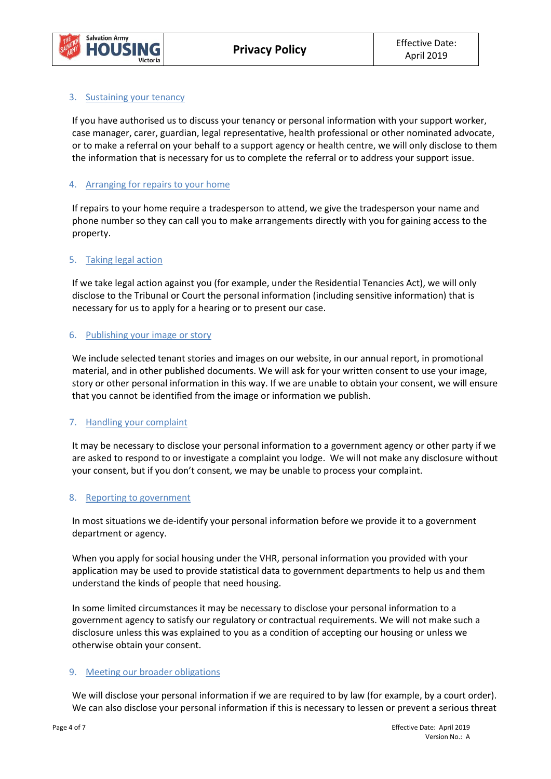

### 3. Sustaining your tenancy

If you have authorised us to discuss your tenancy or personal information with your support worker, case manager, carer, guardian, legal representative, health professional or other nominated advocate, or to make a referral on your behalf to a support agency or health centre, we will only disclose to them the information that is necessary for us to complete the referral or to address your support issue.

### 4. Arranging for repairs to your home

If repairs to your home require a tradesperson to attend, we give the tradesperson your name and phone number so they can call you to make arrangements directly with you for gaining access to the property.

#### 5. Taking legal action

If we take legal action against you (for example, under the Residential Tenancies Act), we will only disclose to the Tribunal or Court the personal information (including sensitive information) that is necessary for us to apply for a hearing or to present our case.

#### 6. Publishing your image or story

We include selected tenant stories and images on our website, in our annual report, in promotional material, and in other published documents. We will ask for your written consent to use your image, story or other personal information in this way. If we are unable to obtain your consent, we will ensure that you cannot be identified from the image or information we publish.

### 7. Handling your complaint

It may be necessary to disclose your personal information to a government agency or other party if we are asked to respond to or investigate a complaint you lodge. We will not make any disclosure without your consent, but if you don't consent, we may be unable to process your complaint.

#### 8. Reporting to government

In most situations we de-identify your personal information before we provide it to a government department or agency.

When you apply for social housing under the VHR, personal information you provided with your application may be used to provide statistical data to government departments to help us and them understand the kinds of people that need housing.

In some limited circumstances it may be necessary to disclose your personal information to a government agency to satisfy our regulatory or contractual requirements. We will not make such a disclosure unless this was explained to you as a condition of accepting our housing or unless we otherwise obtain your consent.

### 9. Meeting our broader obligations

We will disclose your personal information if we are required to by law (for example, by a court order). We can also disclose your personal information if this is necessary to lessen or prevent a serious threat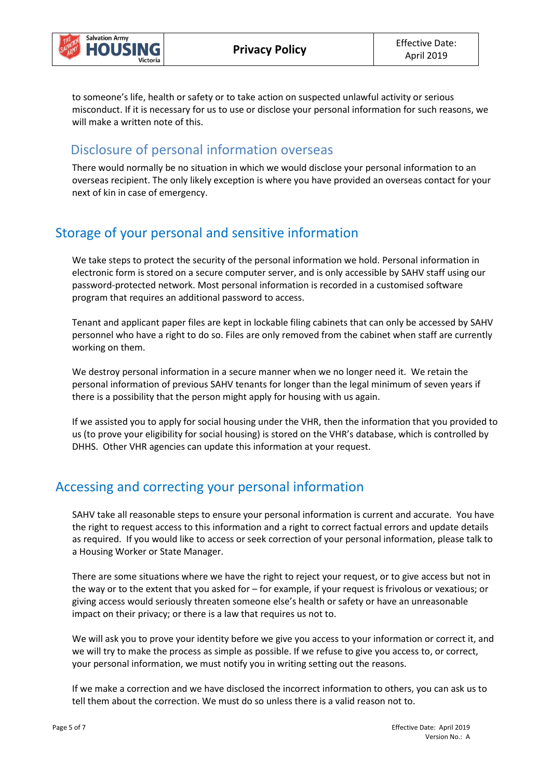

to someone's life, health or safety or to take action on suspected unlawful activity or serious misconduct. If it is necessary for us to use or disclose your personal information for such reasons, we will make a written note of this.

## Disclosure of personal information overseas

There would normally be no situation in which we would disclose your personal information to an overseas recipient. The only likely exception is where you have provided an overseas contact for your next of kin in case of emergency.

# Storage of your personal and sensitive information

We take steps to protect the security of the personal information we hold. Personal information in electronic form is stored on a secure computer server, and is only accessible by SAHV staff using our password-protected network. Most personal information is recorded in a customised software program that requires an additional password to access.

Tenant and applicant paper files are kept in lockable filing cabinets that can only be accessed by SAHV personnel who have a right to do so. Files are only removed from the cabinet when staff are currently working on them.

We destroy personal information in a secure manner when we no longer need it. We retain the personal information of previous SAHV tenants for longer than the legal minimum of seven years if there is a possibility that the person might apply for housing with us again.

If we assisted you to apply for social housing under the VHR, then the information that you provided to us (to prove your eligibility for social housing) is stored on the VHR's database, which is controlled by DHHS. Other VHR agencies can update this information at your request.

# Accessing and correcting your personal information

SAHV take all reasonable steps to ensure your personal information is current and accurate. You have the right to request access to this information and a right to correct factual errors and update details as required. If you would like to access or seek correction of your personal information, please talk to a Housing Worker or State Manager.

There are some situations where we have the right to reject your request, or to give access but not in the way or to the extent that you asked for – for example, if your request is frivolous or vexatious; or giving access would seriously threaten someone else's health or safety or have an unreasonable impact on their privacy; or there is a law that requires us not to.

We will ask you to prove your identity before we give you access to your information or correct it, and we will try to make the process as simple as possible. If we refuse to give you access to, or correct, your personal information, we must notify you in writing setting out the reasons.

If we make a correction and we have disclosed the incorrect information to others, you can ask us to tell them about the correction. We must do so unless there is a valid reason not to.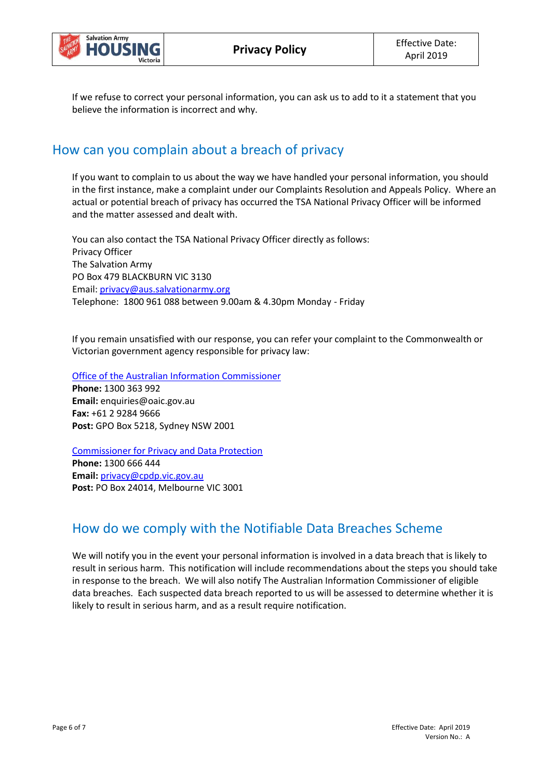

If we refuse to correct your personal information, you can ask us to add to it a statement that you believe the information is incorrect and why.

## How can you complain about a breach of privacy

If you want to complain to us about the way we have handled your personal information, you should in the first instance, make a complaint under our Complaints Resolution and Appeals Policy. Where an actual or potential breach of privacy has occurred the TSA National Privacy Officer will be informed and the matter assessed and dealt with.

You can also contact the TSA National Privacy Officer directly as follows: Privacy Officer The Salvation Army PO Box 479 BLACKBURN VIC 3130 Email: [privacy@aus.salvationarmy.org](mailto:privacy@aus.salvationarmy.org) Telephone: 1800 961 088 between 9.00am & 4.30pm Monday - Friday

If you remain unsatisfied with our response, you can refer your complaint to the Commonwealth or Victorian government agency responsible for privacy law:

[Office of the Australian Information Commissioner](https://www.oaic.gov.au/) **Phone:** 1300 363 992 **Email:** enquiries@oaic.gov.au **Fax:** +61 2 9284 9666 **Post:** GPO Box 5218, Sydney NSW 2001

[Commissioner for Privacy and Data Protection](https://www.cpdp.vic.gov.au/) **Phone:** 1300 666 444

**Email:** [privacy@cpdp.vic.gov.au](mailto:privacy@cpdp.vic.gov.au) **Post:** PO Box 24014, Melbourne VIC 3001

# How do we comply with the Notifiable Data Breaches Scheme

We will notify you in the event your personal information is involved in a data breach that is likely to result in serious harm. This notification will include recommendations about the steps you should take in response to the breach. We will also notify The Australian Information Commissioner of eligible data breaches. Each suspected data breach reported to us will be assessed to determine whether it is likely to result in serious harm, and as a result require notification.